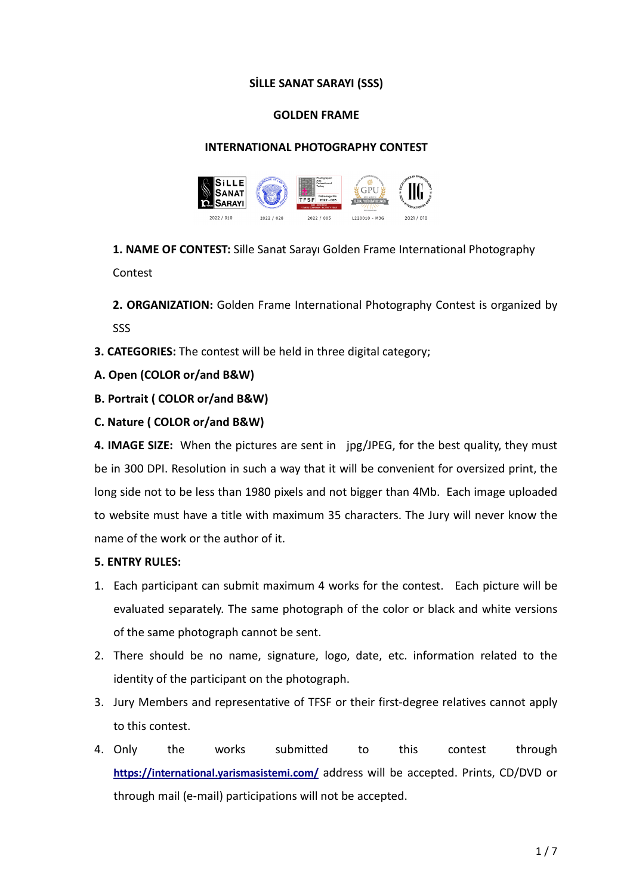### **SİLLE SANAT SARAYI (SSS)**

### **GOLDEN FRAME**

# **INTERNATIONAL PHOTOGRAPHY CONTEST**



**1. NAME OF CONTEST:** Sille Sanat Sarayı Golden Frame International Photography Contest

**2. ORGANIZATION:** Golden Frame International Photography Contest is organized by SSS

- **3. CATEGORIES:** The contest will be held in three digital category;
- **A. Open (COLOR or/and B&W)**
- **B. Portrait ( COLOR or/and B&W)**
- **C. Nature ( COLOR or/and B&W)**

**4. IMAGE SIZE:** When the pictures are sent in jpg/JPEG, for the best quality, they must be in 300 DPI. Resolution in such a way that it will be convenient for oversized print, the long side not to be less than 1980 pixels and not bigger than 4Mb. Each image uploaded to website must have a title with maximum 35 characters. The Jury will never know the name of the work or the author of it.

# **5. ENTRY RULES:**

- 1. Each participant can submit maximum 4 works for the contest. Each picture will be evaluated separately. The same photograph of the color or black and white versions of the same photograph cannot be sent.
- 2. There should be no name, signature, logo, date, etc. information related to the identity of the participant on the photograph.
- 3. Jury Members and representative of TFSF or their first-degree relatives cannot apply to this contest.
- 4. Only the works submitted to this contest through **<https://international.yarismasistemi.com/>** address will be accepted. Prints, CD/DVD or through mail (e-mail) participations will not be accepted.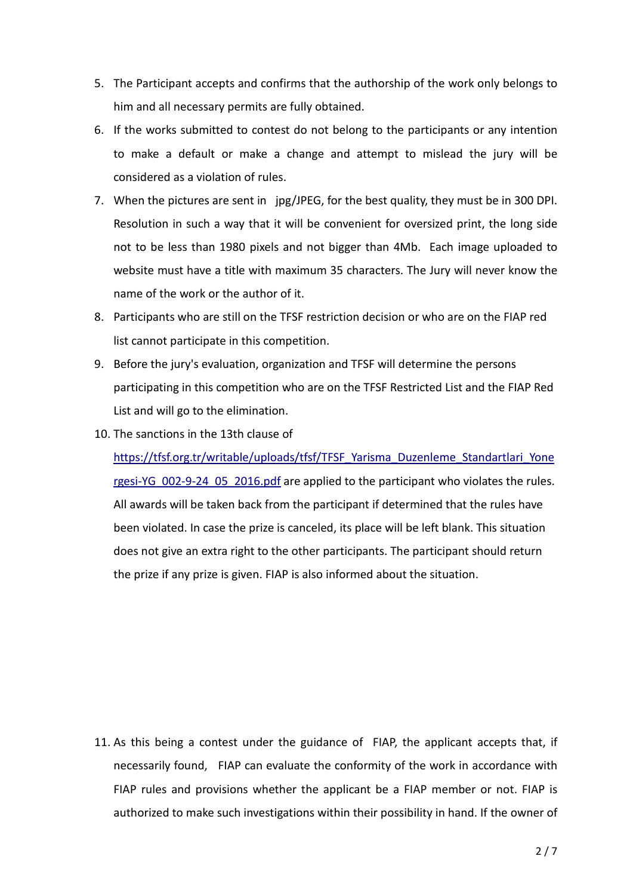- 5. The Participant accepts and confirms that the authorship of the work only belongs to him and all necessary permits are fully obtained.
- 6. If the works submitted to contest do not belong to the participants or any intention to make a default or make a change and attempt to mislead the jury will be considered as a violation of rules.
- 7. When the pictures are sent in jpg/JPEG, for the best quality, they must be in 300 DPI. Resolution in such a way that it will be convenient for oversized print, the long side not to be less than 1980 pixels and not bigger than 4Mb. Each image uploaded to website must have a title with maximum 35 characters. The Jury will never know the name of the work or the author of it.
- 8. Participants who are still on the TFSF restriction decision or who are on the FIAP red list cannot participate in this competition.
- 9. Before the jury's evaluation, organization and TFSF will determine the persons participating in this competition who are on the TFSF Restricted List and the FIAP Red List and will go to the elimination.
- 10. The sanctions in the 13th clause of

[https://tfsf.org.tr/writable/uploads/tfsf/TFSF\\_Yarisma\\_Duzenleme\\_Standartlari\\_Yone](https://tfsf.org.tr/writable/uploads/tfsf/TFSF_Yarisma_Duzenleme_Standartlari_Yonergesi-YG_002-9-24_05_2016.pdf) [rgesi-YG\\_002-9-24\\_05\\_2016.pdf](https://tfsf.org.tr/writable/uploads/tfsf/TFSF_Yarisma_Duzenleme_Standartlari_Yonergesi-YG_002-9-24_05_2016.pdf) are applied to the participant who violates the rules. All awards will be taken back from the participant if determined that the rules have been violated. In case the prize is canceled, its place will be left blank. This situation does not give an extra right to the other participants. The participant should return the prize if any prize is given. FIAP is also informed about the situation.

11. As this being a contest under the guidance of FIAP, the applicant accepts that, if necessarily found, FIAP can evaluate the conformity of the work in accordance with FIAP rules and provisions whether the applicant be a FIAP member or not. FIAP is authorized to make such investigations within their possibility in hand. If the owner of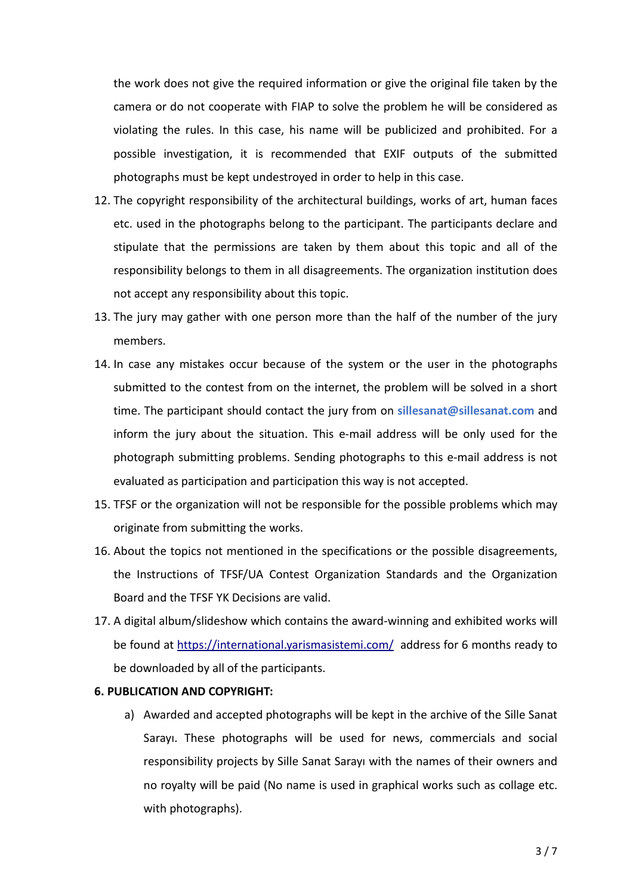the work does not give the required information or give the original file taken by the camera or do not cooperate with FIAP to solve the problem he will be considered as violating the rules. In this case, his name will be publicized and prohibited. For a possible investigation, it is recommended that EXIF outputs of the submitted photographs must be kept undestroyed in order to help in this case.

- 12. The copyright responsibility of the architectural buildings, works of art, human faces etc. used in the photographs belong to the participant. The participants declare and stipulate that the permissions are taken by them about this topic and all of the responsibility belongs to them in all disagreements. The organization institution does not accept any responsibility about this topic.
- 13. The jury may gather with one person more than the half of the number of the jury members.
- 14. In case any mistakes occur because of the system or the user in the photographs submitted to the contest from on the internet, the problem will be solved in a short time. The participant should contact the jury from on **sillesanat@sillesanat.com** and inform the jury about the situation. This e-mail address will be only used for the photograph submitting problems. Sending photographs to this e-mail address is not evaluated as participation and participation this way is not accepted.
- 15. TFSF or the organization will not be responsible for the possible problems which may originate from submitting the works.
- 16. About the topics not mentioned in the specifications or the possible disagreements, the Instructions of TFSF/UA Contest Organization Standards and the Organization Board and the TFSF YK Decisions are valid.
- 17. A digital album/slideshow which contains the award-winning and exhibited works will be found at<https://international.yarismasistemi.com/> address for 6 months ready to be downloaded by all of the participants.

#### **6. PUBLICATION AND COPYRIGHT:**

a) Awarded and accepted photographs will be kept in the archive of the Sille Sanat Sarayı. These photographs will be used for news, commercials and social responsibility projects by Sille Sanat Sarayı with the names of their owners and no royalty will be paid (No name is used in graphical works such as collage etc. with photographs).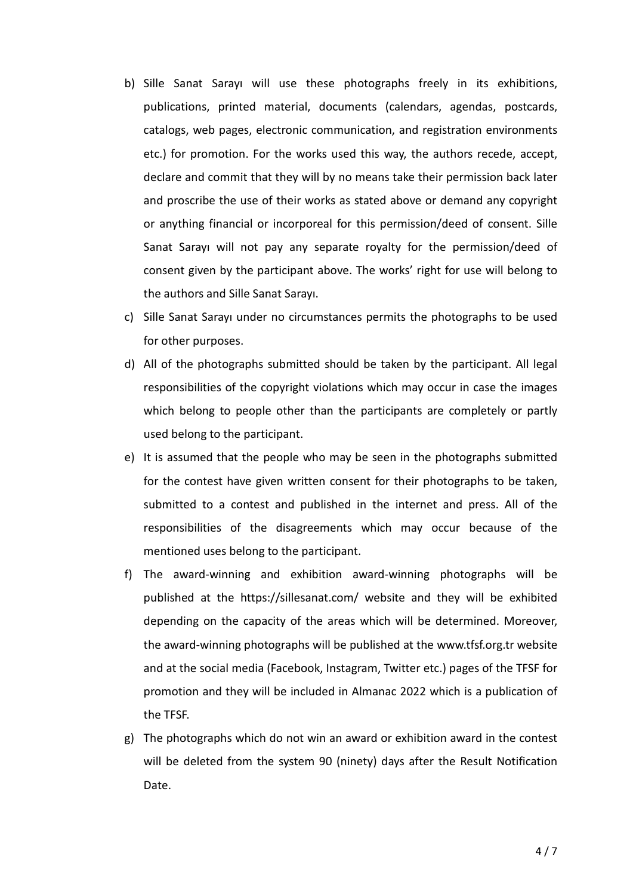- b) Sille Sanat Sarayı will use these photographs freely in its exhibitions, publications, printed material, documents (calendars, agendas, postcards, catalogs, web pages, electronic communication, and registration environments etc.) for promotion. For the works used this way, the authors recede, accept, declare and commit that they will by no means take their permission back later and proscribe the use of their works as stated above or demand any copyright or anything financial or incorporeal for this permission/deed of consent. Sille Sanat Sarayı will not pay any separate royalty for the permission/deed of consent given by the participant above. The works' right for use will belong to the authors and Sille Sanat Sarayı.
- c) Sille Sanat Sarayı under no circumstances permits the photographs to be used for other purposes.
- d) All of the photographs submitted should be taken by the participant. All legal responsibilities of the copyright violations which may occur in case the images which belong to people other than the participants are completely or partly used belong to the participant.
- e) It is assumed that the people who may be seen in the photographs submitted for the contest have given written consent for their photographs to be taken, submitted to a contest and published in the internet and press. All of the responsibilities of the disagreements which may occur because of the mentioned uses belong to the participant.
- f) The award-winning and exhibition award-winning photographs will be published at the https://sillesanat.com/ website and they will be exhibited depending on the capacity of the areas which will be determined. Moreover, the award-winning photographs will be published at the www.tfsf.org.tr website and at the social media (Facebook, Instagram, Twitter etc.) pages of the TFSF for promotion and they will be included in Almanac 2022 which is a publication of the TFSF.
- g) The photographs which do not win an award or exhibition award in the contest will be deleted from the system 90 (ninety) days after the Result Notification Date.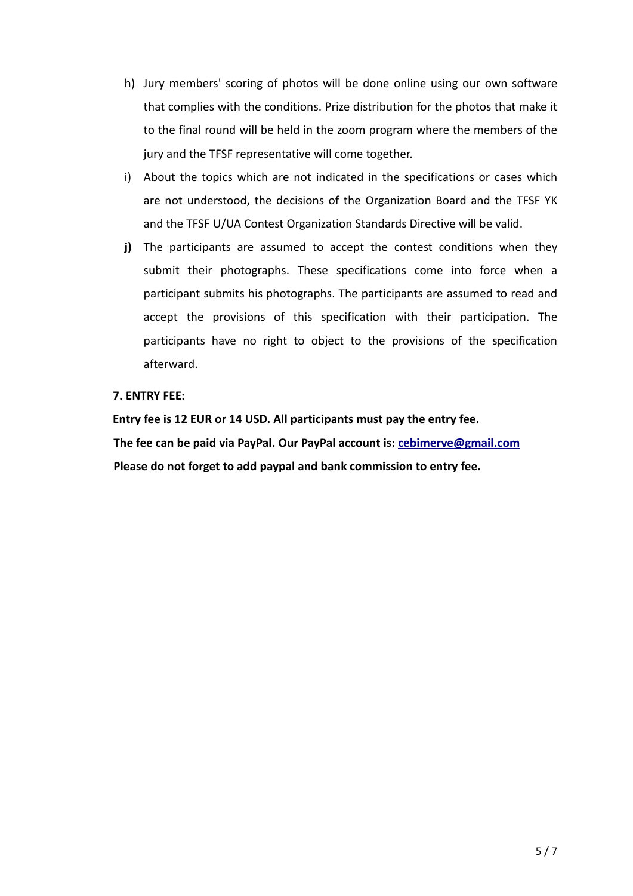- h) Jury members' scoring of photos will be done online using our own software that complies with the conditions. Prize distribution for the photos that make it to the final round will be held in the zoom program where the members of the jury and the TFSF representative will come together.
- i) About the topics which are not indicated in the specifications or cases which are not understood, the decisions of the Organization Board and the TFSF YK and the TFSF U/UA Contest Organization Standards Directive will be valid.
- **j)** The participants are assumed to accept the contest conditions when they submit their photographs. These specifications come into force when a participant submits his photographs. The participants are assumed to read and accept the provisions of this specification with their participation. The participants have no right to object to the provisions of the specification afterward.

#### **7. ENTRY FEE:**

**Entry fee is 12 EUR or 14 USD. All participants must pay the entry fee. The fee can be paid via PayPal. Our PayPal account is: [cebimerve@gmail.com](mailto:cebimerve@gmail.com) Please do not forget to add paypal and bank commission to entry fee.**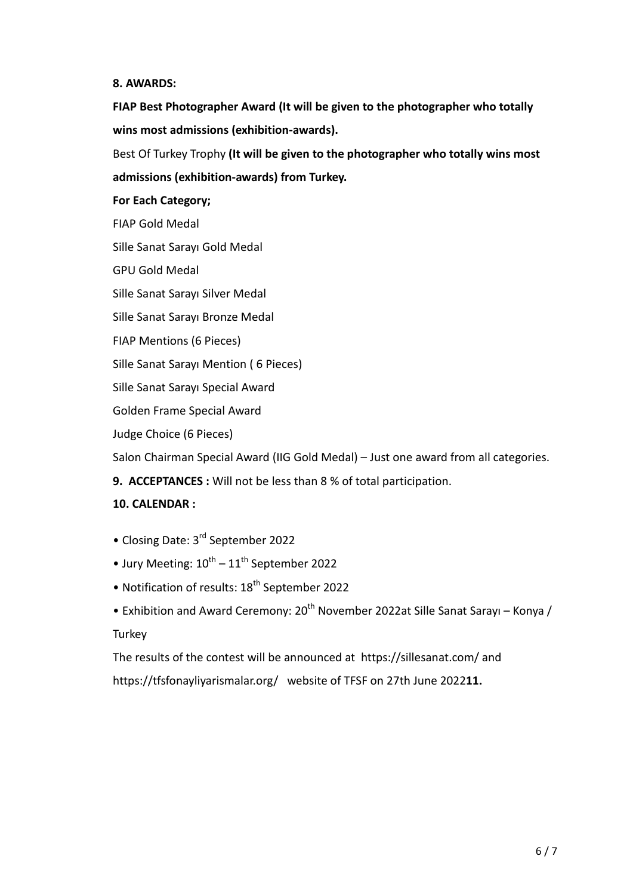#### **8. AWARDS:**

**FIAP Best Photographer Award (It will be given to the photographer who totally wins most admissions (exhibition-awards).**

Best Of Turkey Trophy **(It will be given to the photographer who totally wins most admissions (exhibition-awards) from Turkey.**

#### **For Each Category;**

FIAP Gold Medal

Sille Sanat Sarayı Gold Medal

GPU Gold Medal

Sille Sanat Sarayı Silver Medal

Sille Sanat Sarayı Bronze Medal

FIAP Mentions (6 Pieces)

Sille Sanat Sarayı Mention ( 6 Pieces)

Sille Sanat Sarayı Special Award

Golden Frame Special Award

Judge Choice (6 Pieces)

Salon Chairman Special Award (IIG Gold Medal) – Just one award from all categories.

**9. ACCEPTANCES :** Will not be less than 8 % of total participation.

# **10. CALENDAR :**

- Closing Date: 3<sup>rd</sup> September 2022
- Jury Meeting:  $10^{th} 11^{th}$  September 2022
- Notification of results: 18<sup>th</sup> September 2022
- Exhibition and Award Ceremony:  $20^{th}$  November 2022at Sille Sanat Sarayı Konya / **Turkey**

The results of the contest will be announced at https://sillesanat.com/ and https://tfsfonayliyarismalar.org/ website of TFSF on 27th June 2022**11.**